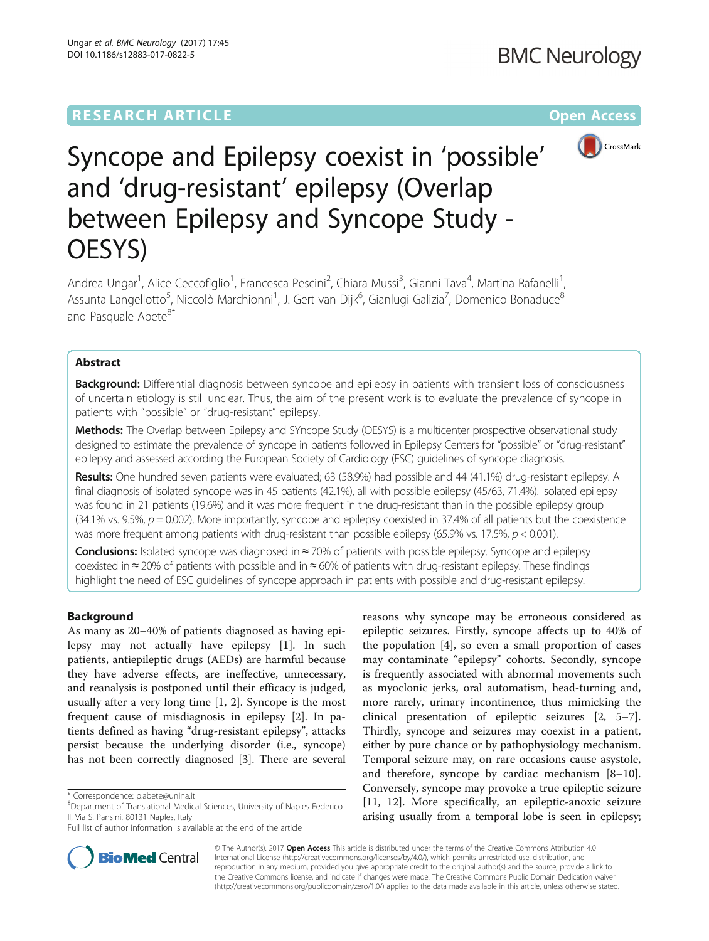# **RESEARCH ARTICLE Example 2014 12:30 The Contract of Contract ACCESS**



# Syncope and Epilepsy coexist in 'possible' and 'drug-resistant' epilepsy (Overlap between Epilepsy and Syncope Study - OESYS)

Andrea Ungar<sup>1</sup>, Alice Ceccofiglio<sup>1</sup>, Francesca Pescini<sup>2</sup>, Chiara Mussi<sup>3</sup>, Gianni Tava<sup>4</sup>, Martina Rafanelli<sup>1</sup> , Assunta Langellotto<sup>5</sup>, Niccolò Marchionni<sup>1</sup>, J. Gert van Dijk<sup>6</sup>, Gianlugi Galizia<sup>7</sup>, Domenico Bonaduce<sup>8</sup> and Pasquale Abete<sup>8\*</sup>

## Abstract

**Background:** Differential diagnosis between syncope and epilepsy in patients with transient loss of consciousness of uncertain etiology is still unclear. Thus, the aim of the present work is to evaluate the prevalence of syncope in patients with "possible" or "drug-resistant" epilepsy.

Methods: The Overlap between Epilepsy and SYncope Study (OESYS) is a multicenter prospective observational study designed to estimate the prevalence of syncope in patients followed in Epilepsy Centers for "possible" or "drug-resistant" epilepsy and assessed according the European Society of Cardiology (ESC) guidelines of syncope diagnosis.

Results: One hundred seven patients were evaluated; 63 (58.9%) had possible and 44 (41.1%) drug-resistant epilepsy. A final diagnosis of isolated syncope was in 45 patients (42.1%), all with possible epilepsy (45/63, 71.4%). Isolated epilepsy was found in 21 patients (19.6%) and it was more frequent in the drug-resistant than in the possible epilepsy group  $(34.1\%$  vs. 9.5%,  $p = 0.002$ ). More importantly, syncope and epilepsy coexisted in 37.4% of all patients but the coexistence was more frequent among patients with drug-resistant than possible epilepsy (65.9% vs. 17.5%,  $p < 0.001$ ).

Conclusions: Isolated syncope was diagnosed in ≈ 70% of patients with possible epilepsy. Syncope and epilepsy coexisted in ≈ 20% of patients with possible and in ≈ 60% of patients with drug-resistant epilepsy. These findings highlight the need of ESC guidelines of syncope approach in patients with possible and drug-resistant epilepsy.

### Background

As many as 20–40% of patients diagnosed as having epilepsy may not actually have epilepsy [[1\]](#page-7-0). In such patients, antiepileptic drugs (AEDs) are harmful because they have adverse effects, are ineffective, unnecessary, and reanalysis is postponed until their efficacy is judged, usually after a very long time [[1, 2\]](#page-7-0). Syncope is the most frequent cause of misdiagnosis in epilepsy [\[2\]](#page-7-0). In patients defined as having "drug-resistant epilepsy", attacks persist because the underlying disorder (i.e., syncope) has not been correctly diagnosed [[3](#page-7-0)]. There are several

reasons why syncope may be erroneous considered as epileptic seizures. Firstly, syncope affects up to 40% of the population [\[4\]](#page-7-0), so even a small proportion of cases may contaminate "epilepsy" cohorts. Secondly, syncope is frequently associated with abnormal movements such as myoclonic jerks, oral automatism, head-turning and, more rarely, urinary incontinence, thus mimicking the clinical presentation of epileptic seizures [\[2](#page-7-0), [5](#page-7-0)–[7](#page-7-0)]. Thirdly, syncope and seizures may coexist in a patient, either by pure chance or by pathophysiology mechanism. Temporal seizure may, on rare occasions cause asystole, and therefore, syncope by cardiac mechanism [[8](#page-7-0)–[10](#page-7-0)]. Conversely, syncope may provoke a true epileptic seizure [[11, 12\]](#page-7-0). More specifically, an epileptic-anoxic seizure arising usually from a temporal lobe is seen in epilepsy;



© The Author(s). 2017 **Open Access** This article is distributed under the terms of the Creative Commons Attribution 4.0 International License [\(http://creativecommons.org/licenses/by/4.0/](http://creativecommons.org/licenses/by/4.0/)), which permits unrestricted use, distribution, and reproduction in any medium, provided you give appropriate credit to the original author(s) and the source, provide a link to the Creative Commons license, and indicate if changes were made. The Creative Commons Public Domain Dedication waiver [\(http://creativecommons.org/publicdomain/zero/1.0/](http://creativecommons.org/publicdomain/zero/1.0/)) applies to the data made available in this article, unless otherwise stated.

<sup>\*</sup> Correspondence: [p.abete@unina.it](mailto:p.abete@unina.it) <sup>8</sup>

Department of Translational Medical Sciences, University of Naples Federico II, Via S. Pansini, 80131 Naples, Italy

Full list of author information is available at the end of the article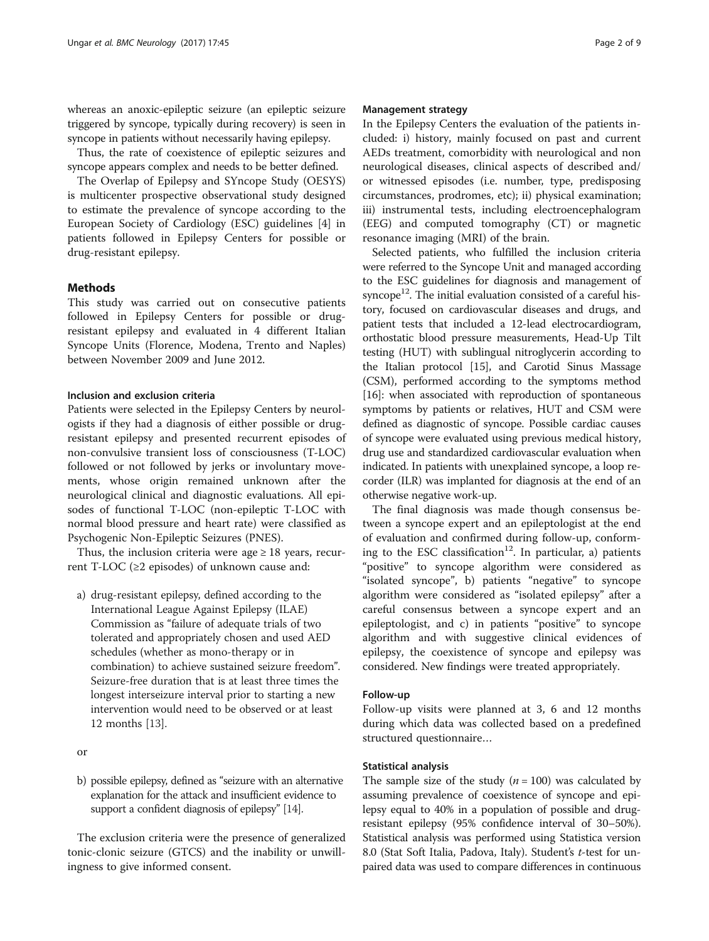whereas an anoxic-epileptic seizure (an epileptic seizure triggered by syncope, typically during recovery) is seen in syncope in patients without necessarily having epilepsy.

Thus, the rate of coexistence of epileptic seizures and syncope appears complex and needs to be better defined.

The Overlap of Epilepsy and SYncope Study (OESYS) is multicenter prospective observational study designed to estimate the prevalence of syncope according to the European Society of Cardiology (ESC) guidelines [\[4](#page-7-0)] in patients followed in Epilepsy Centers for possible or drug-resistant epilepsy.

#### Methods

This study was carried out on consecutive patients followed in Epilepsy Centers for possible or drugresistant epilepsy and evaluated in 4 different Italian Syncope Units (Florence, Modena, Trento and Naples) between November 2009 and June 2012.

#### Inclusion and exclusion criteria

Patients were selected in the Epilepsy Centers by neurologists if they had a diagnosis of either possible or drugresistant epilepsy and presented recurrent episodes of non-convulsive transient loss of consciousness (T-LOC) followed or not followed by jerks or involuntary movements, whose origin remained unknown after the neurological clinical and diagnostic evaluations. All episodes of functional T-LOC (non-epileptic T-LOC with normal blood pressure and heart rate) were classified as Psychogenic Non-Epileptic Seizures (PNES).

Thus, the inclusion criteria were age  $\geq 18$  years, recurrent T-LOC ( $\geq$ 2 episodes) of unknown cause and:

a) drug-resistant epilepsy, defined according to the International League Against Epilepsy (ILAE) Commission as "failure of adequate trials of two tolerated and appropriately chosen and used AED schedules (whether as mono-therapy or in combination) to achieve sustained seizure freedom". Seizure-free duration that is at least three times the longest interseizure interval prior to starting a new intervention would need to be observed or at least 12 months [[13](#page-7-0)].

or

b) possible epilepsy, defined as "seizure with an alternative explanation for the attack and insufficient evidence to support a confident diagnosis of epilepsy" [[14](#page-7-0)].

The exclusion criteria were the presence of generalized tonic-clonic seizure (GTCS) and the inability or unwillingness to give informed consent.

#### Management strategy

In the Epilepsy Centers the evaluation of the patients included: i) history, mainly focused on past and current AEDs treatment, comorbidity with neurological and non neurological diseases, clinical aspects of described and/ or witnessed episodes (i.e. number, type, predisposing circumstances, prodromes, etc); ii) physical examination; iii) instrumental tests, including electroencephalogram (EEG) and computed tomography (CT) or magnetic resonance imaging (MRI) of the brain.

Selected patients, who fulfilled the inclusion criteria were referred to the Syncope Unit and managed according to the ESC guidelines for diagnosis and management of syncope<sup>12</sup>. The initial evaluation consisted of a careful history, focused on cardiovascular diseases and drugs, and patient tests that included a 12-lead electrocardiogram, orthostatic blood pressure measurements, Head-Up Tilt testing (HUT) with sublingual nitroglycerin according to the Italian protocol [\[15\]](#page-7-0), and Carotid Sinus Massage (CSM), performed according to the symptoms method [[16](#page-7-0)]: when associated with reproduction of spontaneous symptoms by patients or relatives, HUT and CSM were defined as diagnostic of syncope. Possible cardiac causes of syncope were evaluated using previous medical history, drug use and standardized cardiovascular evaluation when indicated. In patients with unexplained syncope, a loop recorder (ILR) was implanted for diagnosis at the end of an otherwise negative work-up.

The final diagnosis was made though consensus between a syncope expert and an epileptologist at the end of evaluation and confirmed during follow-up, conforming to the ESC classification<sup>12</sup>. In particular, a) patients "positive" to syncope algorithm were considered as "isolated syncope", b) patients "negative" to syncope algorithm were considered as "isolated epilepsy" after a careful consensus between a syncope expert and an epileptologist, and c) in patients "positive" to syncope algorithm and with suggestive clinical evidences of epilepsy, the coexistence of syncope and epilepsy was considered. New findings were treated appropriately.

#### Follow-up

Follow-up visits were planned at 3, 6 and 12 months during which data was collected based on a predefined structured questionnaire…

#### Statistical analysis

The sample size of the study  $(n = 100)$  was calculated by assuming prevalence of coexistence of syncope and epilepsy equal to 40% in a population of possible and drugresistant epilepsy (95% confidence interval of 30–50%). Statistical analysis was performed using Statistica version 8.0 (Stat Soft Italia, Padova, Italy). Student's t-test for unpaired data was used to compare differences in continuous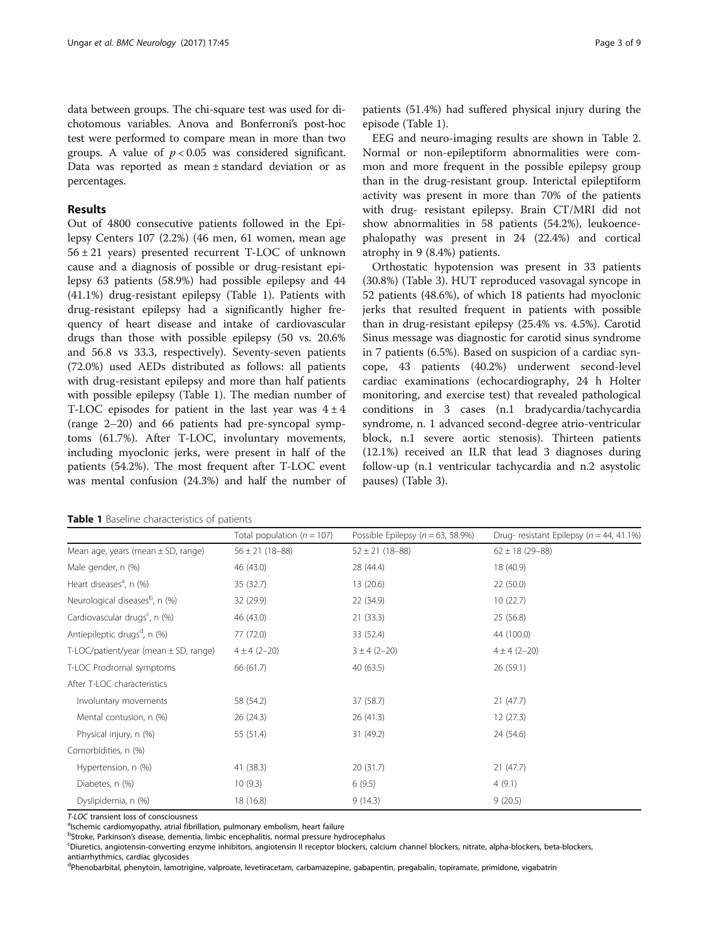#### Results

Out of 4800 consecutive patients followed in the Epilepsy Centers 107 (2.2%) (46 men, 61 women, mean age 56 ± 21 years) presented recurrent T-LOC of unknown cause and a diagnosis of possible or drug-resistant epilepsy 63 patients (58.9%) had possible epilepsy and 44 (41.1%) drug-resistant epilepsy (Table 1). Patients with drug-resistant epilepsy had a significantly higher frequency of heart disease and intake of cardiovascular drugs than those with possible epilepsy (50 vs. 20.6% and 56.8 vs 33.3, respectively). Seventy-seven patients (72.0%) used AEDs distributed as follows: all patients with drug-resistant epilepsy and more than half patients with possible epilepsy (Table 1). The median number of T-LOC episodes for patient in the last year was  $4 \pm 4$ (range 2–20) and 66 patients had pre-syncopal symptoms (61.7%). After T-LOC, involuntary movements, including myoclonic jerks, were present in half of the patients (54.2%). The most frequent after T-LOC event was mental confusion (24.3%) and half the number of

patients (51.4%) had suffered physical injury during the episode (Table 1).

EEG and neuro-imaging results are shown in Table [2](#page-3-0). Normal or non-epileptiform abnormalities were common and more frequent in the possible epilepsy group than in the drug-resistant group. Interictal epileptiform activity was present in more than 70% of the patients with drug- resistant epilepsy. Brain CT/MRI did not show abnormalities in 58 patients (54.2%), leukoencephalopathy was present in 24 (22.4%) and cortical atrophy in 9 (8.4%) patients.

Orthostatic hypotension was present in 33 patients (30.8%) (Table [3](#page-3-0)). HUT reproduced vasovagal syncope in 52 patients (48.6%), of which 18 patients had myoclonic jerks that resulted frequent in patients with possible than in drug-resistant epilepsy (25.4% vs. 4.5%). Carotid Sinus message was diagnostic for carotid sinus syndrome in 7 patients (6.5%). Based on suspicion of a cardiac syncope, 43 patients (40.2%) underwent second-level cardiac examinations (echocardiography, 24 h Holter monitoring, and exercise test) that revealed pathological conditions in 3 cases (n.1 bradycardia/tachycardia syndrome, n. 1 advanced second-degree atrio-ventricular block, n.1 severe aortic stenosis). Thirteen patients (12.1%) received an ILR that lead 3 diagnoses during follow-up (n.1 ventricular tachycardia and n.2 asystolic pauses) (Table [3\)](#page-3-0).

| Table 1 Baseline characteristics of patients |  |
|----------------------------------------------|--|
|----------------------------------------------|--|

|                                                    | Total population ( $n = 107$ ) | Possible Epilepsy ( $n = 63$ , 58.9%) | Drug-resistant Epilepsy ( $n = 44, 41.1\%$ ) |
|----------------------------------------------------|--------------------------------|---------------------------------------|----------------------------------------------|
| Mean age, years (mean $\pm$ SD, range)             | $56 \pm 21$ (18-88)            | $52 \pm 21$ (18-88)                   | $62 \pm 18$ (29-88)                          |
| Male gender, n (%)                                 | 46 (43.0)                      | 28 (44.4)                             | 18 (40.9)                                    |
| Heart diseases <sup>a</sup> , n (%)                | 35 (32.7)                      | 13(20.6)                              | 22(50.0)                                     |
| Neurological diseases <sup>b</sup> , n (%)         | 32 (29.9)                      | 22 (34.9)                             | 10(22.7)                                     |
| Cardiovascular drugs <sup>c</sup> , n (%)          | 46 (43.0)                      | 21(33.3)                              | 25(56.8)                                     |
| Antiepileptic drugs <sup>d</sup> , n (%)           | 77 (72.0)                      | 33 (52.4)                             | 44 (100.0)                                   |
| $T\text{-}LOC/patient/year$ (mean $\pm$ SD, range) | $4 \pm 4 (2 - 20)$             | $3 \pm 4 (2 - 20)$                    | $4 \pm 4 (2 - 20)$                           |
| T-LOC Prodromal symptoms                           | 66 (61.7)                      | 40(63.5)                              | 26(59.1)                                     |
| After T-LOC characteristics                        |                                |                                       |                                              |
| Involuntary movements                              | 58 (54.2)                      | 37 (58.7)                             | 21(47.7)                                     |
| Mental contusion, n (%)                            | 26 (24.3)                      | 26(41.3)                              | 12(27.3)                                     |
| Physical injury, n (%)                             | 55 (51.4)                      | 31 (49.2)                             | 24 (54.6)                                    |
| Comorbidities, n (%)                               |                                |                                       |                                              |
| Hypertension, n (%)                                | 41 (38.3)                      | 20(31.7)                              | 21(47.7)                                     |
| Diabetes, n (%)                                    | 10(9.3)                        | 6(9.5)                                | 4(9.1)                                       |
| Dyslipidemia, n (%)                                | 18 (16.8)                      | 9(14.3)                               | 9(20.5)                                      |

T-LOC transient loss of consciousness

<sup>a</sup>lschemic cardiomyopathy, atrial fibrillation, pulmonary embolism, heart failure

b<br>Stroke, Parkinson's disease, dementia, limbic encephalitis, normal pressure hydrocephalus<br>Shiuratics angiotansia converting enzyme inhibitors, angiotansia llusecenter blockers, calci

<sup>c</sup>Diuretics, angiotensin-converting enzyme inhibitors, angiotensin II receptor blockers, calcium channel blockers, nitrate, alpha-blockers, beta-blockers, antiarrhythmics, cardiac glycosides

<sup>d</sup>Phenobarbital, phenytoin, lamotrigine, valproate, levetiracetam, carbamazepine, gabapentin, pregabalin, topiramate, primidone, vigabatrin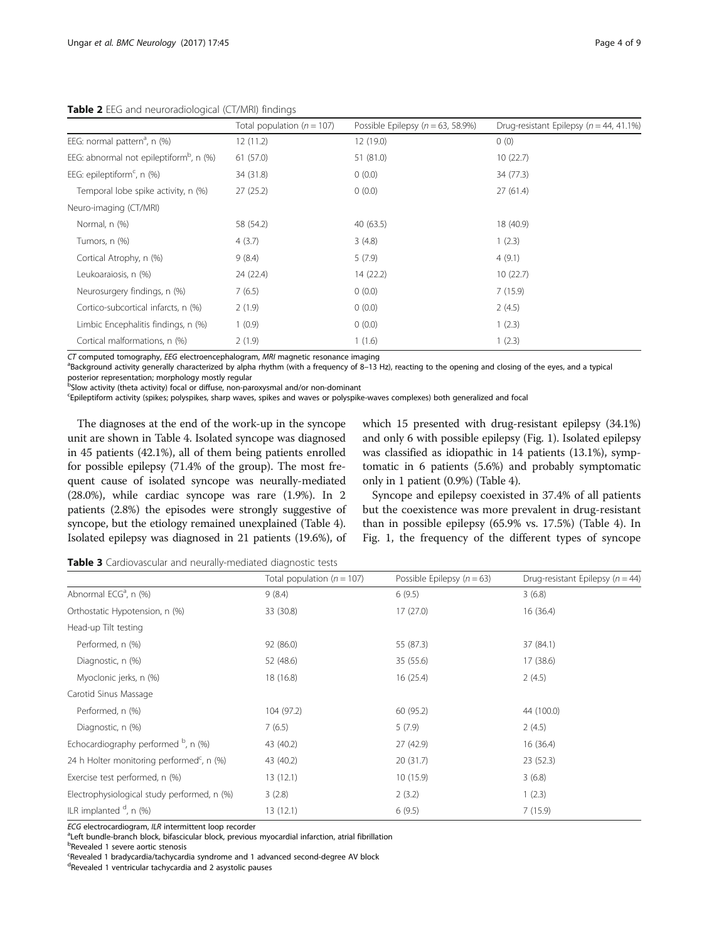<span id="page-3-0"></span>Table 2 EEG and neuroradiological (CT/MRI) findings

|                                                        | Total population ( $n = 107$ ) | Possible Epilepsy ( $n = 63$ , 58.9%) | Drug-resistant Epilepsy ( $n = 44, 41.1\%$ ) |
|--------------------------------------------------------|--------------------------------|---------------------------------------|----------------------------------------------|
| EEG: normal pattern <sup>a</sup> , n (%)               | 12(11.2)                       | 12(19.0)                              | 0(0)                                         |
| EEG: abnormal not epileptiform <sup>b</sup> , n $(\%)$ | 61(57.0)                       | 51 (81.0)                             | 10(22.7)                                     |
| EEG: epileptiform <sup>c</sup> , n $(\%)$              | 34 (31.8)                      | 0(0.0)                                | 34 (77.3)                                    |
| Temporal lobe spike activity, n (%)                    | 27(25.2)                       | 0(0.0)                                | 27(61.4)                                     |
| Neuro-imaging (CT/MRI)                                 |                                |                                       |                                              |
| Normal, n (%)                                          | 58 (54.2)                      | 40 (63.5)                             | 18 (40.9)                                    |
| Tumors, n (%)                                          | 4(3.7)                         | 3(4.8)                                | 1(2.3)                                       |
| Cortical Atrophy, n (%)                                | 9(8.4)                         | 5(7.9)                                | 4(9.1)                                       |
| Leukoaraiosis, n (%)                                   | 24 (22.4)                      | 14 (22.2)                             | 10(22.7)                                     |
| Neurosurgery findings, n (%)                           | 7(6.5)                         | 0(0.0)                                | 7(15.9)                                      |
| Cortico-subcortical infarcts, n (%)                    | 2(1.9)                         | 0(0.0)                                | 2(4.5)                                       |
| Limbic Encephalitis findings, n (%)                    | 1(0.9)                         | 0(0.0)                                | 1(2.3)                                       |
| Cortical malformations, n (%)                          | 2(1.9)                         | 1(1.6)                                | 1(2.3)                                       |

CT computed tomography, EEG electroencephalogram, MRI magnetic resonance imaging

<sup>a</sup>Background activity generally characterized by alpha rhythm (with a frequency of 8–13 Hz), reacting to the opening and closing of the eyes, and a typical posterior representation; morphology mostly regular

b<br>Slow activity (theta activity) focal or diffuse, non-paroxysmal and/or non-dominant

c Epileptiform activity (spikes; polyspikes, sharp waves, spikes and waves or polyspike-waves complexes) both generalized and focal

The diagnoses at the end of the work-up in the syncope unit are shown in Table [4](#page-4-0). Isolated syncope was diagnosed in 45 patients (42.1%), all of them being patients enrolled for possible epilepsy (71.4% of the group). The most frequent cause of isolated syncope was neurally-mediated (28.0%), while cardiac syncope was rare (1.9%). In 2 patients (2.8%) the episodes were strongly suggestive of syncope, but the etiology remained unexplained (Table [4](#page-4-0)). Isolated epilepsy was diagnosed in 21 patients (19.6%), of which 15 presented with drug-resistant epilepsy (34.1%) and only 6 with possible epilepsy (Fig. [1\)](#page-4-0). Isolated epilepsy was classified as idiopathic in 14 patients (13.1%), symptomatic in 6 patients (5.6%) and probably symptomatic only in 1 patient (0.9%) (Table [4](#page-4-0)).

Syncope and epilepsy coexisted in 37.4% of all patients but the coexistence was more prevalent in drug-resistant than in possible epilepsy (65.9% vs. 17.5%) (Table [4\)](#page-4-0). In Fig. [1,](#page-4-0) the frequency of the different types of syncope

Table 3 Cardiovascular and neurally-mediated diagnostic tests

|                                                       | Total population ( $n = 107$ ) | Possible Epilepsy ( $n = 63$ ) | Drug-resistant Epilepsy ( $n = 44$ ) |
|-------------------------------------------------------|--------------------------------|--------------------------------|--------------------------------------|
| Abnormal ECG <sup>a</sup> , n (%)                     | 9(8.4)                         | 6(9.5)                         | 3(6.8)                               |
| Orthostatic Hypotension, n (%)                        | 33 (30.8)                      | 17(27.0)                       | 16(36.4)                             |
| Head-up Tilt testing                                  |                                |                                |                                      |
| Performed, n (%)                                      | 92 (86.0)                      | 55 (87.3)                      | 37 (84.1)                            |
| Diagnostic, n (%)                                     | 52 (48.6)                      | 35 (55.6)                      | 17(38.6)                             |
| Myoclonic jerks, n (%)                                | 18 (16.8)                      | 16(25.4)                       | 2(4.5)                               |
| Carotid Sinus Massage                                 |                                |                                |                                      |
| Performed, n (%)                                      | 104 (97.2)                     | 60 (95.2)                      | 44 (100.0)                           |
| Diagnostic, n (%)                                     | 7(6.5)                         | 5(7.9)                         | 2(4.5)                               |
| Echocardiography performed $P$ , n (%)                | 43 (40.2)                      | 27 (42.9)                      | 16(36.4)                             |
| 24 h Holter monitoring performed <sup>c</sup> , n (%) | 43 (40.2)                      | 20(31.7)                       | 23(52.3)                             |
| Exercise test performed, n (%)                        | 13(12.1)                       | 10(15.9)                       | 3(6.8)                               |
| Electrophysiological study performed, n (%)           | 3(2.8)                         | 2(3.2)                         | 1(2.3)                               |
| ILR implanted <sup>d</sup> , n (%)                    | 13(12.1)                       | 6(9.5)                         | 7(15.9)                              |

ECG electrocardiogram, ILR intermittent loop recorder

<sup>a</sup>Left bundle-branch block, bifascicular block, previous myocardial infarction, atrial fibrillation

<sup>b</sup>Revealed 1 severe aortic stenosis

<sup>c</sup>Revealed 1 bradycardia/tachycardia syndrome and 1 advanced second-degree AV block

<sup>d</sup>Revealed 1 ventricular tachycardia and 2 asystolic pauses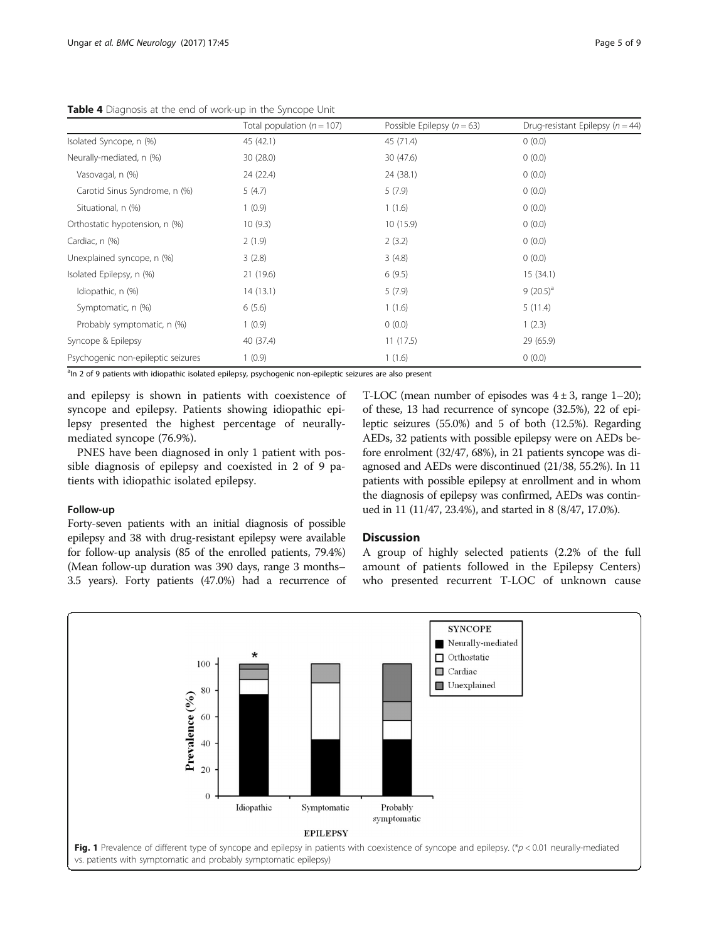<span id="page-4-0"></span>Table 4 Diagnosis at the end of work-up in the Syncope Unit

|                                    | Total population ( $n = 107$ ) | Possible Epilepsy $(n = 63)$ | Drug-resistant Epilepsy ( $n = 44$ ) |
|------------------------------------|--------------------------------|------------------------------|--------------------------------------|
| Isolated Syncope, n (%)            | 45 (42.1)                      | 45 (71.4)                    | 0(0.0)                               |
| Neurally-mediated, n (%)           | 30 (28.0)                      | 30 (47.6)                    | 0(0.0)                               |
| Vasovagal, n (%)                   | 24 (22.4)                      | 24 (38.1)                    | 0(0.0)                               |
| Carotid Sinus Syndrome, n (%)      | 5(4.7)                         | 5(7.9)                       | 0(0.0)                               |
| Situational, n (%)                 | 1(0.9)                         | 1(1.6)                       | 0(0.0)                               |
| Orthostatic hypotension, n (%)     | 10(9.3)                        | 10(15.9)                     | 0(0.0)                               |
| Cardiac, n (%)                     | 2(1.9)                         | 2(3.2)                       | 0(0.0)                               |
| Unexplained syncope, n (%)         | 3(2.8)                         | 3(4.8)                       | 0(0.0)                               |
| Isolated Epilepsy, n (%)           | 21 (19.6)                      | 6(9.5)                       | 15(34.1)                             |
| Idiopathic, n (%)                  | 14(13.1)                       | 5(7.9)                       | $9(20.5)^a$                          |
| Symptomatic, n (%)                 | 6(5.6)                         | 1(1.6)                       | 5(11.4)                              |
| Probably symptomatic, n (%)        | 1(0.9)                         | 0(0.0)                       | 1(2.3)                               |
| Syncope & Epilepsy                 | 40 (37.4)                      | 11(17.5)                     | 29 (65.9)                            |
| Psychogenic non-epileptic seizures | 1(0.9)                         | 1(1.6)                       | 0(0.0)                               |

<sup>a</sup>ln 2 of 9 patients with idiopathic isolated epilepsy, psychogenic non-epileptic seizures are also present

and epilepsy is shown in patients with coexistence of syncope and epilepsy. Patients showing idiopathic epilepsy presented the highest percentage of neurallymediated syncope (76.9%).

PNES have been diagnosed in only 1 patient with possible diagnosis of epilepsy and coexisted in 2 of 9 patients with idiopathic isolated epilepsy.

#### Follow-up

Forty-seven patients with an initial diagnosis of possible epilepsy and 38 with drug-resistant epilepsy were available for follow-up analysis (85 of the enrolled patients, 79.4%) (Mean follow-up duration was 390 days, range 3 months– 3.5 years). Forty patients (47.0%) had a recurrence of

T-LOC (mean number of episodes was  $4 \pm 3$ , range 1–20); of these, 13 had recurrence of syncope (32.5%), 22 of epileptic seizures (55.0%) and 5 of both (12.5%). Regarding AEDs, 32 patients with possible epilepsy were on AEDs before enrolment (32/47, 68%), in 21 patients syncope was diagnosed and AEDs were discontinued (21/38, 55.2%). In 11 patients with possible epilepsy at enrollment and in whom the diagnosis of epilepsy was confirmed, AEDs was continued in 11 (11/47, 23.4%), and started in 8 (8/47, 17.0%).

### Discussion

A group of highly selected patients (2.2% of the full amount of patients followed in the Epilepsy Centers) who presented recurrent T-LOC of unknown cause

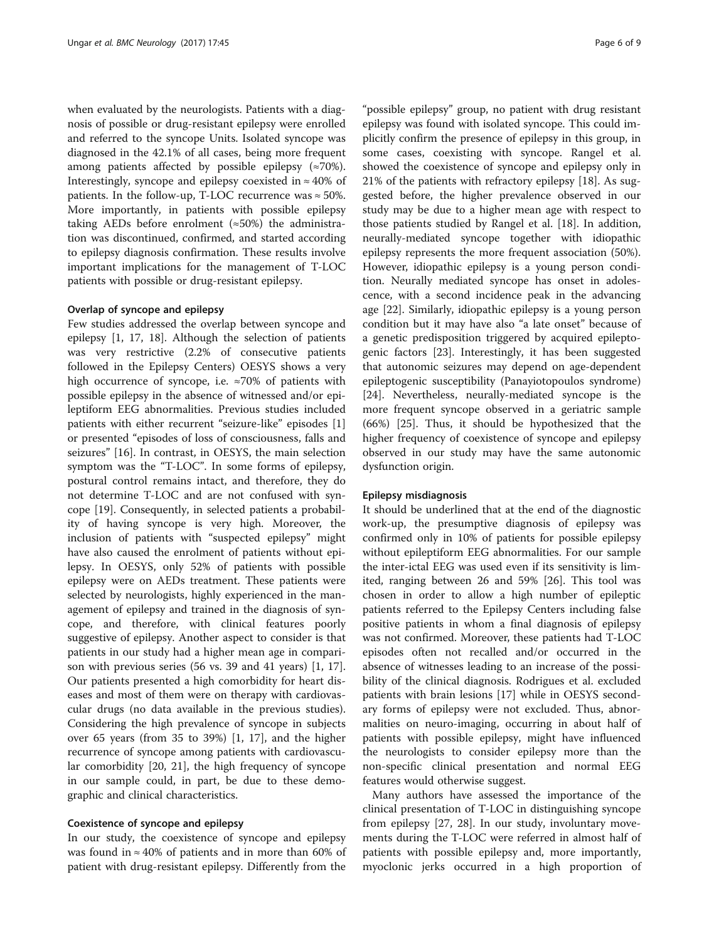when evaluated by the neurologists. Patients with a diagnosis of possible or drug-resistant epilepsy were enrolled and referred to the syncope Units. Isolated syncope was diagnosed in the 42.1% of all cases, being more frequent among patients affected by possible epilepsy (≈70%). Interestingly, syncope and epilepsy coexisted in  $\approx 40\%$  of patients. In the follow-up, T-LOC recurrence was  $\approx$  50%. More importantly, in patients with possible epilepsy taking AEDs before enrolment  $(*50%)$  the administration was discontinued, confirmed, and started according to epilepsy diagnosis confirmation. These results involve important implications for the management of T-LOC patients with possible or drug-resistant epilepsy.

#### Overlap of syncope and epilepsy

Few studies addressed the overlap between syncope and epilepsy [[1, 17](#page-7-0), [18\]](#page-7-0). Although the selection of patients was very restrictive (2.2% of consecutive patients followed in the Epilepsy Centers) OESYS shows a very high occurrence of syncope, i.e. ≈70% of patients with possible epilepsy in the absence of witnessed and/or epileptiform EEG abnormalities. Previous studies included patients with either recurrent "seizure-like" episodes [\[1](#page-7-0)] or presented "episodes of loss of consciousness, falls and seizures" [[16\]](#page-7-0). In contrast, in OESYS, the main selection symptom was the "T-LOC". In some forms of epilepsy, postural control remains intact, and therefore, they do not determine T-LOC and are not confused with syncope [\[19](#page-7-0)]. Consequently, in selected patients a probability of having syncope is very high. Moreover, the inclusion of patients with "suspected epilepsy" might have also caused the enrolment of patients without epilepsy. In OESYS, only 52% of patients with possible epilepsy were on AEDs treatment. These patients were selected by neurologists, highly experienced in the management of epilepsy and trained in the diagnosis of syncope, and therefore, with clinical features poorly suggestive of epilepsy. Another aspect to consider is that patients in our study had a higher mean age in comparison with previous series (56 vs. 39 and 41 years) [[1, 17](#page-7-0)]. Our patients presented a high comorbidity for heart diseases and most of them were on therapy with cardiovascular drugs (no data available in the previous studies). Considering the high prevalence of syncope in subjects over 65 years (from 35 to 39%) [[1, 17\]](#page-7-0), and the higher recurrence of syncope among patients with cardiovascular comorbidity [[20, 21\]](#page-7-0), the high frequency of syncope in our sample could, in part, be due to these demographic and clinical characteristics.

#### Coexistence of syncope and epilepsy

In our study, the coexistence of syncope and epilepsy was found in  $\approx 40\%$  of patients and in more than 60% of patient with drug-resistant epilepsy. Differently from the

"possible epilepsy" group, no patient with drug resistant epilepsy was found with isolated syncope. This could implicitly confirm the presence of epilepsy in this group, in some cases, coexisting with syncope. Rangel et al. showed the coexistence of syncope and epilepsy only in 21% of the patients with refractory epilepsy [\[18\]](#page-7-0). As suggested before, the higher prevalence observed in our study may be due to a higher mean age with respect to those patients studied by Rangel et al. [[18](#page-7-0)]. In addition, neurally-mediated syncope together with idiopathic epilepsy represents the more frequent association (50%). However, idiopathic epilepsy is a young person condition. Neurally mediated syncope has onset in adolescence, with a second incidence peak in the advancing age [[22\]](#page-7-0). Similarly, idiopathic epilepsy is a young person condition but it may have also "a late onset" because of a genetic predisposition triggered by acquired epileptogenic factors [[23\]](#page-7-0). Interestingly, it has been suggested that autonomic seizures may depend on age-dependent epileptogenic susceptibility (Panayiotopoulos syndrome) [[24\]](#page-7-0). Nevertheless, neurally-mediated syncope is the more frequent syncope observed in a geriatric sample (66%) [\[25](#page-7-0)]. Thus, it should be hypothesized that the higher frequency of coexistence of syncope and epilepsy observed in our study may have the same autonomic dysfunction origin.

#### Epilepsy misdiagnosis

It should be underlined that at the end of the diagnostic work-up, the presumptive diagnosis of epilepsy was confirmed only in 10% of patients for possible epilepsy without epileptiform EEG abnormalities. For our sample the inter-ictal EEG was used even if its sensitivity is limited, ranging between 26 and 59% [\[26\]](#page-7-0). This tool was chosen in order to allow a high number of epileptic patients referred to the Epilepsy Centers including false positive patients in whom a final diagnosis of epilepsy was not confirmed. Moreover, these patients had T-LOC episodes often not recalled and/or occurred in the absence of witnesses leading to an increase of the possibility of the clinical diagnosis. Rodrigues et al. excluded patients with brain lesions [[17](#page-7-0)] while in OESYS secondary forms of epilepsy were not excluded. Thus, abnormalities on neuro-imaging, occurring in about half of patients with possible epilepsy, might have influenced the neurologists to consider epilepsy more than the non-specific clinical presentation and normal EEG features would otherwise suggest.

Many authors have assessed the importance of the clinical presentation of T-LOC in distinguishing syncope from epilepsy [\[27](#page-7-0), [28](#page-7-0)]. In our study, involuntary movements during the T-LOC were referred in almost half of patients with possible epilepsy and, more importantly, myoclonic jerks occurred in a high proportion of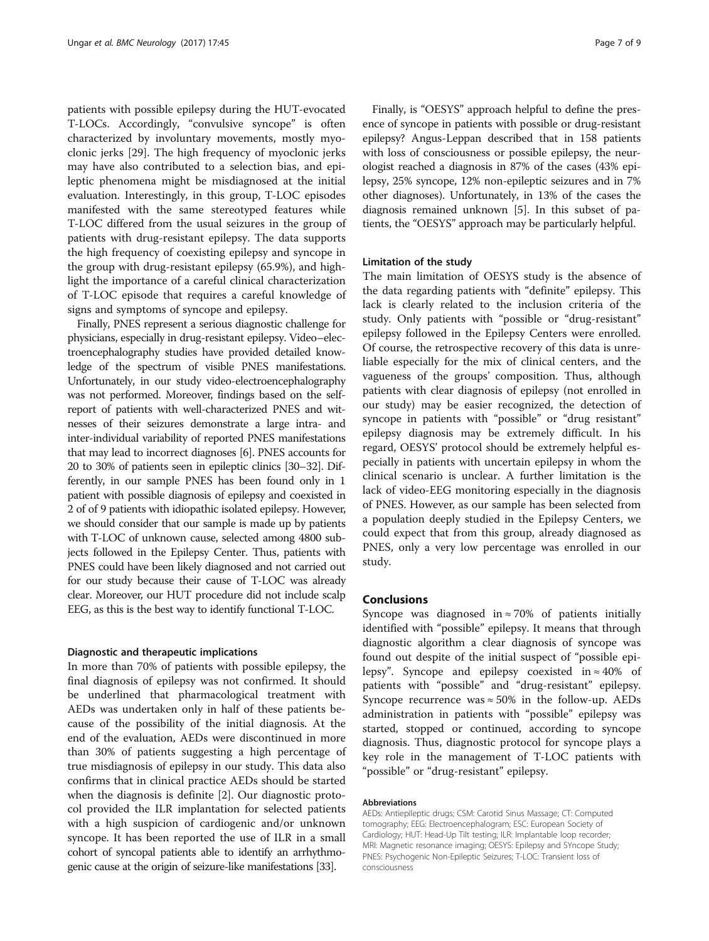patients with possible epilepsy during the HUT-evocated T-LOCs. Accordingly, "convulsive syncope" is often characterized by involuntary movements, mostly myoclonic jerks [[29](#page-7-0)]. The high frequency of myoclonic jerks may have also contributed to a selection bias, and epileptic phenomena might be misdiagnosed at the initial evaluation. Interestingly, in this group, T-LOC episodes manifested with the same stereotyped features while T-LOC differed from the usual seizures in the group of patients with drug-resistant epilepsy. The data supports the high frequency of coexisting epilepsy and syncope in the group with drug-resistant epilepsy (65.9%), and highlight the importance of a careful clinical characterization of T-LOC episode that requires a careful knowledge of signs and symptoms of syncope and epilepsy.

Finally, PNES represent a serious diagnostic challenge for physicians, especially in drug-resistant epilepsy. Video–electroencephalography studies have provided detailed knowledge of the spectrum of visible PNES manifestations. Unfortunately, in our study video-electroencephalography was not performed. Moreover, findings based on the selfreport of patients with well-characterized PNES and witnesses of their seizures demonstrate a large intra- and inter-individual variability of reported PNES manifestations that may lead to incorrect diagnoses [\[6\]](#page-7-0). PNES accounts for 20 to 30% of patients seen in epileptic clinics [\[30](#page-7-0)–[32\]](#page-8-0). Differently, in our sample PNES has been found only in 1 patient with possible diagnosis of epilepsy and coexisted in 2 of of 9 patients with idiopathic isolated epilepsy. However, we should consider that our sample is made up by patients with T-LOC of unknown cause, selected among 4800 subjects followed in the Epilepsy Center. Thus, patients with PNES could have been likely diagnosed and not carried out for our study because their cause of T-LOC was already clear. Moreover, our HUT procedure did not include scalp EEG, as this is the best way to identify functional T-LOC.

#### Diagnostic and therapeutic implications

In more than 70% of patients with possible epilepsy, the final diagnosis of epilepsy was not confirmed. It should be underlined that pharmacological treatment with AEDs was undertaken only in half of these patients because of the possibility of the initial diagnosis. At the end of the evaluation, AEDs were discontinued in more than 30% of patients suggesting a high percentage of true misdiagnosis of epilepsy in our study. This data also confirms that in clinical practice AEDs should be started when the diagnosis is definite [\[2](#page-7-0)]. Our diagnostic protocol provided the ILR implantation for selected patients with a high suspicion of cardiogenic and/or unknown syncope. It has been reported the use of ILR in a small cohort of syncopal patients able to identify an arrhythmogenic cause at the origin of seizure-like manifestations [\[33\]](#page-8-0).

Finally, is "OESYS" approach helpful to define the presence of syncope in patients with possible or drug-resistant epilepsy? Angus-Leppan described that in 158 patients with loss of consciousness or possible epilepsy, the neurologist reached a diagnosis in 87% of the cases (43% epilepsy, 25% syncope, 12% non-epileptic seizures and in 7% other diagnoses). Unfortunately, in 13% of the cases the diagnosis remained unknown [[5\]](#page-7-0). In this subset of patients, the "OESYS" approach may be particularly helpful.

#### Limitation of the study

The main limitation of OESYS study is the absence of the data regarding patients with "definite" epilepsy. This lack is clearly related to the inclusion criteria of the study. Only patients with "possible or "drug-resistant" epilepsy followed in the Epilepsy Centers were enrolled. Of course, the retrospective recovery of this data is unreliable especially for the mix of clinical centers, and the vagueness of the groups' composition. Thus, although patients with clear diagnosis of epilepsy (not enrolled in our study) may be easier recognized, the detection of syncope in patients with "possible" or "drug resistant" epilepsy diagnosis may be extremely difficult. In his regard, OESYS' protocol should be extremely helpful especially in patients with uncertain epilepsy in whom the clinical scenario is unclear. A further limitation is the lack of video-EEG monitoring especially in the diagnosis of PNES. However, as our sample has been selected from a population deeply studied in the Epilepsy Centers, we could expect that from this group, already diagnosed as PNES, only a very low percentage was enrolled in our study.

#### Conclusions

Syncope was diagnosed in  $\approx$  70% of patients initially identified with "possible" epilepsy. It means that through diagnostic algorithm a clear diagnosis of syncope was found out despite of the initial suspect of "possible epilepsy". Syncope and epilepsy coexisted in ≈ 40% of patients with "possible" and "drug-resistant" epilepsy. Syncope recurrence was  $\approx 50\%$  in the follow-up. AEDs administration in patients with "possible" epilepsy was started, stopped or continued, according to syncope diagnosis. Thus, diagnostic protocol for syncope plays a key role in the management of T-LOC patients with "possible" or "drug-resistant" epilepsy.

#### Abbreviations

AEDs: Antiepileptic drugs; CSM: Carotid Sinus Massage; CT: Computed tomography; EEG: Electroencephalogram; ESC: European Society of Cardiology; HUT: Head-Up Tilt testing; ILR: Implantable loop recorder; MRI: Magnetic resonance imaging; OESYS: Epilepsy and SYncope Study; PNES: Psychogenic Non-Epileptic Seizures; T-LOC: Transient loss of consciousness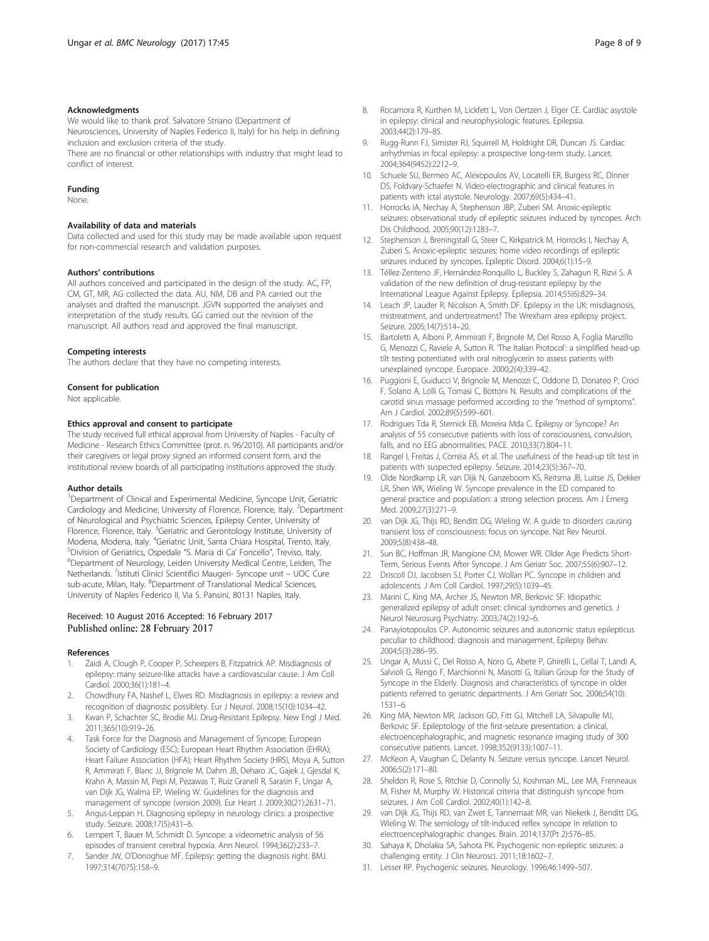#### <span id="page-7-0"></span>Acknowledgments

We would like to thank prof. Salvatore Striano (Department of Neurosciences, University of Naples Federico II, Italy) for his help in defining inclusion and exclusion criteria of the study. There are no financial or other relationships with industry that might lead to conflict of interest.

#### Funding

None.

#### Availability of data and materials

Data collected and used for this study may be made available upon request for non-commercial research and validation purposes.

#### Authors' contributions

All authors conceived and participated in the design of the study. AC, FP, CM, GT, MR, AG collected the data. AU, NM, DB and PA carried out the analyses and drafted the manuscript. JGVN supported the analyses and interpretation of the study results. GG carried out the revision of the manuscript. All authors read and approved the final manuscript.

#### Competing interests

The authors declare that they have no competing interests.

#### Consent for publication

Not applicable.

#### Ethics approval and consent to participate

The study received full ethical approval from University of Naples - Faculty of Medicine - Research Ethics Committee (prot. n. 96/2010). All participants and/or their caregivers or legal proxy signed an informed consent form, and the institutional review boards of all participating institutions approved the study.

#### Author details

<sup>1</sup>Department of Clinical and Experimental Medicine, Syncope Unit, Geriatric Cardiology and Medicine, University of Florence, Florence, Italy. <sup>2</sup>Department of Neurological and Psychiatric Sciences, Epilepsy Center, University of Florence, Florence, Italy. <sup>3</sup>Geriatric and Gerontology Institute, University of<br>Modena, Modena, Italy. <sup>4</sup>Geriatric Unit, Santa Chiara Hospital, Trento, Italy.<br><sup>5</sup>Division of Geriatrics, Ospodalo. <sup>4</sup>S. Maria di Ga' Fonse <sup>5</sup>Division of Geriatrics, Ospedale "S. Maria di Ca' Foncello", Treviso, Italy. Department of Neurology, Leiden University Medical Centre, Leiden, The Netherlands. <sup>7</sup>Istituti Clinici Scientifici Maugeri- Syncope unit - UOC Cure sub-acute, Milan, Italy. <sup>8</sup>Department of Translational Medical Sciences, University of Naples Federico II, Via S. Pansini, 80131 Naples, Italy.

#### Received: 10 August 2016 Accepted: 16 February 2017 Published online: 28 February 2017

#### References

- Zaidi A, Clough P, Cooper P, Scheepers B, Fitzpatrick AP. Misdiagnosis of epilepsy: many seizure-like attacks have a cardiovascular cause. J Am Coll Cardiol. 2000;36(1):181–4.
- 2. Chowdhury FA, Nashef L, Elwes RD. Misdiagnosis in epilepsy: a review and recognition of diagnostic possiblety. Eur J Neurol. 2008;15(10):1034–42.
- 3. Kwan P, Schachter SC, Brodie MJ. Drug-Resistant Epilepsy. New Engl J Med. 2011;365(10):919–26.
- Task Force for the Diagnosis and Management of Syncope; European Society of Cardiology (ESC); European Heart Rhythm Association (EHRA); Heart Failure Association (HFA); Heart Rhythm Society (HRS), Moya A, Sutton R, Ammirati F, Blanc JJ, Brignole M, Dahm JB, Deharo JC, Gajek J, Gjesdal K, Krahn A, Massin M, Pepi M, Pezawas T, Ruiz Granell R, Sarasin F, Ungar A, van Dijk JG, Walma EP, Wieling W. Guidelines for the diagnosis and management of syncope (version 2009). Eur Heart J. 2009;30(21):2631–71.
- 5. Angus-Leppan H. Diagnosing epilepsy in neurology clinics: a prospective study. Seizure. 2008;17(5):431–6.
- 6. Lempert T, Bauer M, Schmidt D. Syncope: a videometric analysis of 56 episodes of transient cerebral hypoxia. Ann Neurol. 1994;36(2):233–7.
- 7. Sander JW, O'Donoghue MF. Epilepsy: getting the diagnosis right. BMJ. 1997;314(7075):158–9.
- 8. Rocamora R, Kurthen M, Lickfett L, Von Oertzen J, Elger CE. Cardiac asystole in epilepsy: clinical and neurophysiologic features. Epilepsia. 2003;44(2):179–85.
- 9. Rugg-Runn FJ, Simister RJ, Squirrell M, Holdright DR, Duncan JS. Cardiac arrhythmias in focal epilepsy: a prospective long-term study. Lancet. 2004;364(9452):2212–9.
- 10. Schuele SU, Bermeo AC, Alexopoulos AV, Locatelli ER, Burgess RC, Dinner DS, Foldvary-Schaefer N. Video-electrographic and clinical features in patients with ictal asystole. Neurology. 2007;69(5):434–41.
- 11. Horrocks IA, Nechay A, Stephenson JBP, Zuberi SM. Anoxic-epileptic seizures: observational study of epileptic seizures induced by syncopes. Arch Dis Childhood. 2005;90(12):1283–7.
- 12. Stephenson J, Breningstall G, Steer C, Kirkpatrick M, Horrocks I, Nechay A, Zuberi S. Anoxic-epileptic seizures: home video recordings of epileptic seizures induced by syncopes. Epileptic Disord. 2004;6(1):15–9.
- 13. Téllez-Zenteno JF, Hernández-Ronquillo L, Buckley S, Zahagun R, Rizvi S. A validation of the new definition of drug-resistant epilepsy by the International League Against Epilepsy. Epilepsia. 2014;55(6):829–34.
- 14. Leach JP, Lauder R, Nicolson A, Smith DF. Epilepsy in the UK: misdiagnosis, mistreatment, and undertreatment? The Wrexham area epilepsy project. Seizure. 2005;14(7):514–20.
- 15. Bartoletti A, Alboni P, Ammirati F, Brignole M, Del Rosso A, Foglia Manzillo G, Menozzi C, Raviele A, Sutton R. 'The Italian Protocol': a simplified head-up tilt testing potentiated with oral nitroglycerin to assess patients with unexplained syncope. Europace. 2000;2(4):339–42.
- 16. Puggioni E, Guiducci V, Brignole M, Menozzi C, Oddone D, Donateo P, Croci F, Solano A, Lolli G, Tomasi C, Bottoni N. Results and complications of the carotid sinus massage performed according to the "method of symptoms". Am J Cardiol. 2002;89(5):599–601.
- 17. Rodrigues Tda R, Sternick EB, Moreira Mda C. Epilepsy or Syncope? An analysis of 55 consecutive patients with loss of consciousness, convulsion, falls, and no EEG abnormalities. PACE. 2010;33(7):804–11.
- 18. Rangel I, Freitas J, Correia AS, et al. The usefulness of the head-up tilt test in patients with suspected epilepsy. Seizure. 2014;23(5):367–70.
- 19. Olde Nordkamp LR, van Dijk N, Ganzeboom KS, Reitsma JB, Luitse JS, Dekker LR, Shen WK, Wieling W. Syncope prevalence in the ED compared to general practice and population: a strong selection process. Am J Emerg Med. 2009;27(3):271–9.
- 20. van Dijk JG, Thijs RD, Benditt DG, Wieling W. A guide to disorders causing transient loss of consciousness: focus on syncope. Nat Rev Neurol. 2009;5(8):438–48.
- 21. Sun BC, Hoffman JR, Mangione CM, Mower WR. Older Age Predicts Short-Term, Serious Events After Syncope. J Am Geriatr Soc. 2007;55(6):907–12.
- 22. Driscoll DJ, Jacobsen SJ, Porter CJ, Wollan PC. Syncope in children and adolescents. J Am Coll Cardiol. 1997;29(5):1039–45.
- 23. Marini C, King MA, Archer JS, Newton MR, Berkovic SF. Idiopathic generalized epilepsy of adult onset: clinical syndromes and genetics. J Neurol Neurosurg Psychiatry. 2003;74(2):192–6.
- 24. Panayiotopoulos CP. Autonomic seizures and autonomic status epilepticus peculiar to childhood: diagnosis and management. Epilepsy Behav. 2004;5(3):286–95.
- 25. Ungar A, Mussi C, Del Rosso A, Noro G, Abete P, Ghirelli L, Cellai T, Landi A, Salvioli G, Rengo F, Marchionni N, Masotti G, Italian Group for the Study of Syncope in the Elderly. Diagnosis and characteristics of syncope in older patients referred to geriatric departments. J Am Geriatr Soc. 2006;54(10): 1531–6.
- 26. King MA, Newton MR, Jackson GD, Fitt GJ, Mitchell LA, Silvapulle MJ, Berkovic SF. Epileptology of the first-seizure presentation: a clinical, electroencephalographic, and magnetic resonance imaging study of 300 consecutive patients. Lancet. 1998;352(9133):1007–11.
- 27. McKeon A, Vaughan C, Delanty N. Seizure versus syncope. Lancet Neurol. 2006;5(2):171–80.
- 28. Sheldon R, Rose S, Ritchie D, Connolly SJ, Koshman ML, Lee MA, Frenneaux M, Fisher M, Murphy W. Historical criteria that distinguish syncope from seizures. J Am Coll Cardiol. 2002;40(1):142–8.
- 29. van Dijk JG, Thijs RD, van Zwet E, Tannemaat MR, van Niekerk J, Benditt DG, Wieling W. The semiology of tilt-induced reflex syncope in relation to electroencephalographic changes. Brain. 2014;137(Pt 2):576–85.
- 30. Sahaya K, Dholakia SA, Sahota PK. Psychogenic non-epileptic seizures: a challenging entity. J Clin Neurosci. 2011;18:1602–7.
- 31. Lesser RP. Psychogenic seizures. Neurology. 1996;46:1499–507.